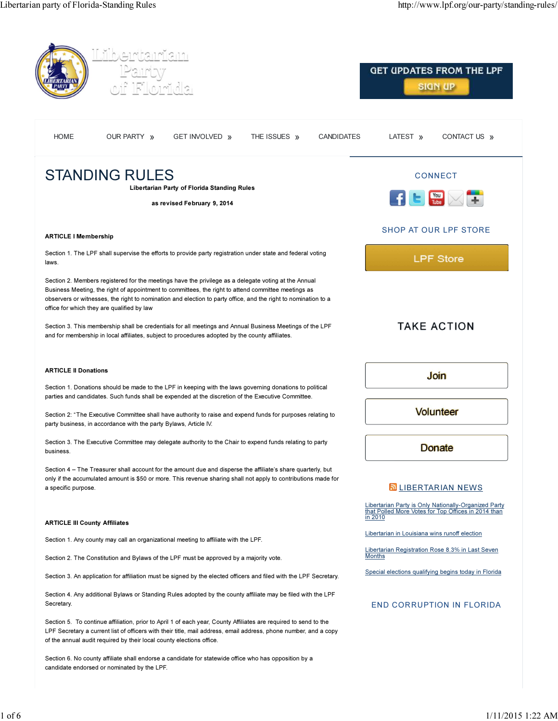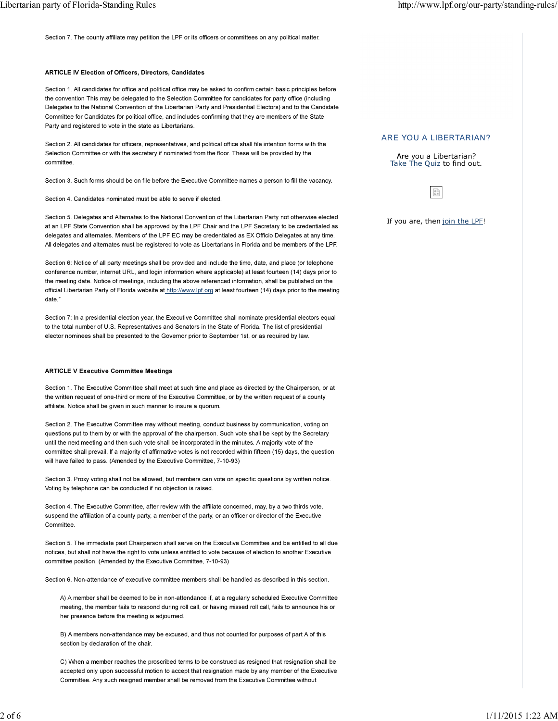Section 7. The county affiliate may petition the LPF or its officers or committees on any political matter.

## ARTICLE IV Election of Officers, Directors, Candidates

Section 1. All candidates for office and political office may be asked to confirm certain basic principles before the convention This may be delegated to the Selection Committee for candidates for party office (including Delegates to the National Convention of the Libertarian Party and Presidential Electors) and to the Candidate Committee for Candidates for political office, and includes confirming that they are members of the State Party and registered to vote in the state as Libertarians.

Section 2. All candidates for officers, representatives, and political office shall file intention forms with the Selection Committee or with the secretary if nominated from the floor. These will be provided by the committee.

Section 3. Such forms should be on file before the Executive Committee names a person to fill the vacancy.

Section 4. Candidates nominated must be able to serve if elected.

Section 5. Delegates and Alternates to the National Convention of the Libertarian Party not otherwise elected at an LPF State Convention shall be approved by the LPF Chair and the LPF Secretary to be credentialed as delegates and alternates. Members of the LPF EC may be credentialed as EX Officio Delegates at any time. All delegates and alternates must be registered to vote as Libertarians in Florida and be members of the LPF.

Section 6: Notice of all party meetings shall be provided and include the time, date, and place (or telephone conference number, internet URL, and login information where applicable) at least fourteen (14) days prior to the meeting date. Notice of meetings, including the above referenced information, shall be published on the official Libertarian Party of Florida website at http://www.lpf.org at least fourteen (14) days prior to the meeting date."

Section 7: In a presidential election year, the Executive Committee shall nominate presidential electors equal to the total number of U.S. Representatives and Senators in the State of Florida. The list of presidential elector nominees shall be presented to the Governor prior to September 1st, or as required by law.

#### ARTICLE V Executive Committee Meetings

Section 1. The Executive Committee shall meet at such time and place as directed by the Chairperson, or at the written request of one-third or more of the Executive Committee, or by the written request of a county affiliate. Notice shall be given in such manner to insure a quorum.

Section 2. The Executive Committee may without meeting, conduct business by communication, voting on questions put to them by or with the approval of the chairperson. Such vote shall be kept by the Secretary until the next meeting and then such vote shall be incorporated in the minutes. A majority vote of the committee shall prevail. If a majority of affirmative votes is not recorded within fifteen (15) days, the question will have failed to pass. (Amended by the Executive Committee, 7-10-93)

Section 3. Proxy voting shall not be allowed, but members can vote on specific questions by written notice. Voting by telephone can be conducted if no objection is raised.

Section 4. The Executive Committee, after review with the affiliate concerned, may, by a two thirds vote, suspend the affiliation of a county party, a member of the party, or an officer or director of the Executive **Committee** 

Section 5. The immediate past Chairperson shall serve on the Executive Committee and be entitled to all due notices, but shall not have the right to vote unless entitled to vote because of election to another Executive committee position. (Amended by the Executive Committee, 7-10-93)

Section 6. Non-attendance of executive committee members shall be handled as described in this section.

A) A member shall be deemed to be in non-attendance if, at a regularly scheduled Executive Committee meeting, the member fails to respond during roll call, or having missed roll call, fails to announce his or her presence before the meeting is adjourned.

B) A members non-attendance may be excused, and thus not counted for purposes of part A of this section by declaration of the chair.

C) When a member reaches the proscribed terms to be construed as resigned that resignation shall be accepted only upon successful motion to accept that resignation made by any member of the Executive Committee. Any such resigned member shall be removed from the Executive Committee without

# ARE YOU A LIBERTARIAN?

Are you a Libertarian? Take The Quiz to find out.

 $\mathbb{R}^{\mathbb{D}}_{\mathbb{R}}$ 

If you are, then join the LPF!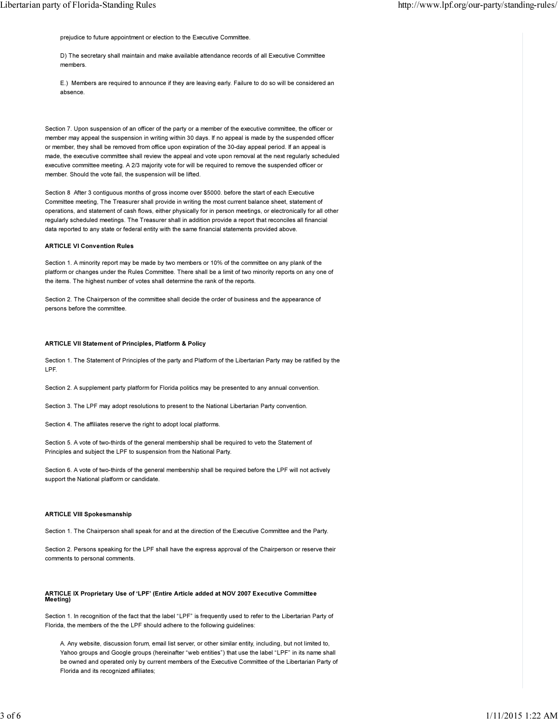prejudice to future appointment or election to the Executive Committee.

D) The secretary shall maintain and make available attendance records of all Executive Committee members.

E.) Members are required to announce if they are leaving early. Failure to do so will be considered an absence.

Section 7. Upon suspension of an officer of the party or a member of the executive committee, the officer or member may appeal the suspension in writing within 30 days. If no appeal is made by the suspended officer or member, they shall be removed from office upon expiration of the 30-day appeal period. If an appeal is made, the executive committee shall review the appeal and vote upon removal at the next regularly scheduled executive committee meeting. A 2/3 majority vote for will be required to remove the suspended officer or member. Should the vote fail, the suspension will be lifted.

Section 8 After 3 contiguous months of gross income over \$5000. before the start of each Executive Committee meeting, The Treasurer shall provide in writing the most current balance sheet, statement of operations, and statement of cash flows, either physically for in person meetings, or electronically for all other regularly scheduled meetings. The Treasurer shall in addition provide a report that reconciles all financial data reported to any state or federal entity with the same financial statements provided above.

#### ARTICLE VI Convention Rules

Section 1. A minority report may be made by two members or 10% of the committee on any plank of the platform or changes under the Rules Committee. There shall be a limit of two minority reports on any one of the items. The highest number of votes shall determine the rank of the reports.

Section 2. The Chairperson of the committee shall decide the order of business and the appearance of persons before the committee.

#### ARTICLE VII Statement of Principles, Platform & Policy

Section 1. The Statement of Principles of the party and Platform of the Libertarian Party may be ratified by the LPF.

Section 2. A supplement party platform for Florida politics may be presented to any annual convention.

Section 3. The LPF may adopt resolutions to present to the National Libertarian Party convention.

Section 4. The affiliates reserve the right to adopt local platforms.

Section 5. A vote of two-thirds of the general membership shall be required to veto the Statement of Principles and subject the LPF to suspension from the National Party.

Section 6. A vote of two-thirds of the general membership shall be required before the LPF will not actively support the National platform or candidate.

## ARTICLE VIII Spokesmanship

Section 1. The Chairperson shall speak for and at the direction of the Executive Committee and the Party.

Section 2. Persons speaking for the LPF shall have the express approval of the Chairperson or reserve their comments to personal comments.

## ARTICLE IX Proprietary Use of 'LPF' (Entire Article added at NOV 2007 Executive Committee Meeting)

Section 1. In recognition of the fact that the label "LPF" is frequently used to refer to the Libertarian Party of Florida, the members of the the LPF should adhere to the following guidelines:

A. Any website, discussion forum, email list server, or other similar entity, including, but not limited to, Yahoo groups and Google groups (hereinafter "web entities") that use the label "LPF" in its name shall be owned and operated only by current members of the Executive Committee of the Libertarian Party of Florida and its recognized affiliates;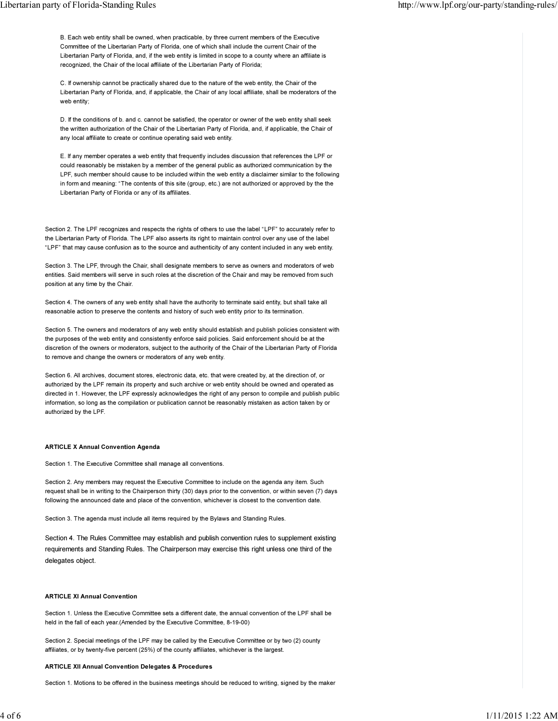B. Each web entity shall be owned, when practicable, by three current members of the Executive Committee of the Libertarian Party of Florida, one of which shall include the current Chair of the Libertarian Party of Florida, and, if the web entity is limited in scope to a county where an affiliate is recognized, the Chair of the local affiliate of the Libertarian Party of Florida;

C. If ownership cannot be practically shared due to the nature of the web entity, the Chair of the Libertarian Party of Florida, and, if applicable, the Chair of any local affiliate, shall be moderators of the web entity;

D. If the conditions of b. and c. cannot be satisfied, the operator or owner of the web entity shall seek the written authorization of the Chair of the Libertarian Party of Florida, and, if applicable, the Chair of any local affiliate to create or continue operating said web entity.

E. If any member operates a web entity that frequently includes discussion that references the LPF or could reasonably be mistaken by a member of the general public as authorized communication by the LPF, such member should cause to be included within the web entity a disclaimer similar to the following in form and meaning: "The contents of this site (group, etc.) are not authorized or approved by the the Libertarian Party of Florida or any of its affiliates.

Section 2. The LPF recognizes and respects the rights of others to use the label "LPF" to accurately refer to the Libertarian Party of Florida. The LPF also asserts its right to maintain control over any use of the label "LPF" that may cause confusion as to the source and authenticity of any content included in any web entity.

Section 3. The LPF, through the Chair, shall designate members to serve as owners and moderators of web entities. Said members will serve in such roles at the discretion of the Chair and may be removed from such position at any time by the Chair.

Section 4. The owners of any web entity shall have the authority to terminate said entity, but shall take all reasonable action to preserve the contents and history of such web entity prior to its termination.

Section 5. The owners and moderators of any web entity should establish and publish policies consistent with the purposes of the web entity and consistently enforce said policies. Said enforcement should be at the discretion of the owners or moderators, subject to the authority of the Chair of the Libertarian Party of Florida to remove and change the owners or moderators of any web entity.

Section 6. All archives, document stores, electronic data, etc. that were created by, at the direction of, or authorized by the LPF remain its property and such archive or web entity should be owned and operated as directed in 1. However, the LPF expressly acknowledges the right of any person to compile and publish public information, so long as the compilation or publication cannot be reasonably mistaken as action taken by or authorized by the LPF.

## ARTICLE X Annual Convention Agenda

Section 1. The Executive Committee shall manage all conventions.

Section 2. Any members may request the Executive Committee to include on the agenda any item. Such request shall be in writing to the Chairperson thirty (30) days prior to the convention, or within seven (7) days following the announced date and place of the convention, whichever is closest to the convention date.

Section 3. The agenda must include all items required by the Bylaws and Standing Rules.

Section 4. The Rules Committee may establish and publish convention rules to supplement existing requirements and Standing Rules. The Chairperson may exercise this right unless one third of the delegates object.

# ARTICLE XI Annual Convention

Section 1. Unless the Executive Committee sets a different date, the annual convention of the LPF shall be held in the fall of each year.(Amended by the Executive Committee, 8-19-00)

Section 2. Special meetings of the LPF may be called by the Executive Committee or by two (2) county affiliates, or by twenty-five percent (25%) of the county affiliates, whichever is the largest.

## ARTICLE XII Annual Convention Delegates & Procedures

Section 1. Motions to be offered in the business meetings should be reduced to writing, signed by the maker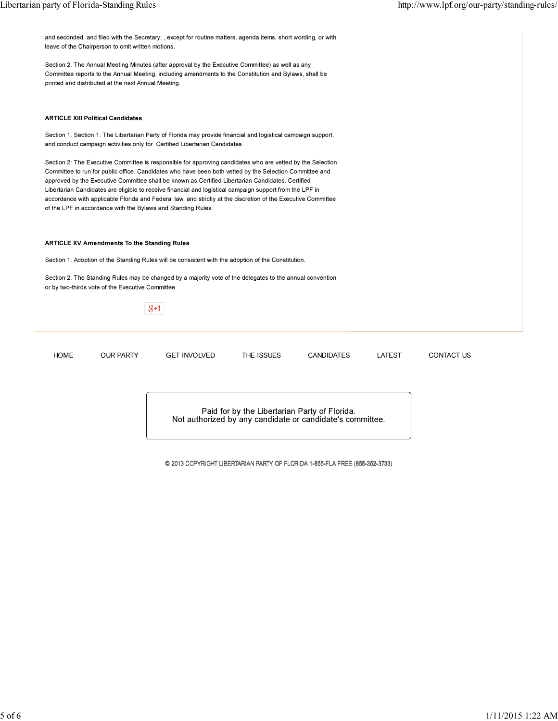and seconded, and filed with the Secretary; , except for routine matters, agenda items, short wording, or with leave of the Chairperson to omit written motions.

Section 2. The Annual Meeting Minutes (after approval by the Executive Committee) as well as any Committee reports to the Annual Meeting, including amendments to the Constitution and Bylaws, shall be printed and distributed at the next Annual Meeting.

## ARTICLE XIII Political Candidates

Section 1. Section 1. The Libertarian Party of Florida may provide financial and logistical campaign support, and conduct campaign activities only for Certified Libertarian Candidates.

Section 2: The Executive Committee is responsible for approving candidates who are vetted by the Selection Committee to run for public office. Candidates who have been both vetted by the Selection Committee and approved by the Executive Committee shall be known as Certified Libertarian Candidates. Certified Libertarian Candidates are eligible to receive financial and logistical campaign support from the LPF in accordance with applicable Florida and Federal law, and strictly at the discretion of the Executive Committee of the LPF in accordance with the Bylaws and Standing Rules.

# ARTICLE XV Amendments To the Standing Rules

Section 1. Adoption of the Standing Rules will be consistent with the adoption of the Constitution.

Section 2. The Standing Rules may be changed by a majority vote of the delegates to the annual convention or by two-thirds vote of the Executive Committee.



Paid for by the Libertarian Party of Florida. Not authorized by any candidate or candidate's committee.

@ 2013 COPYRIGHT LIBERTARIAN PARTY OF FLORIDA 1-855-FLA FREE (855-352-3733)